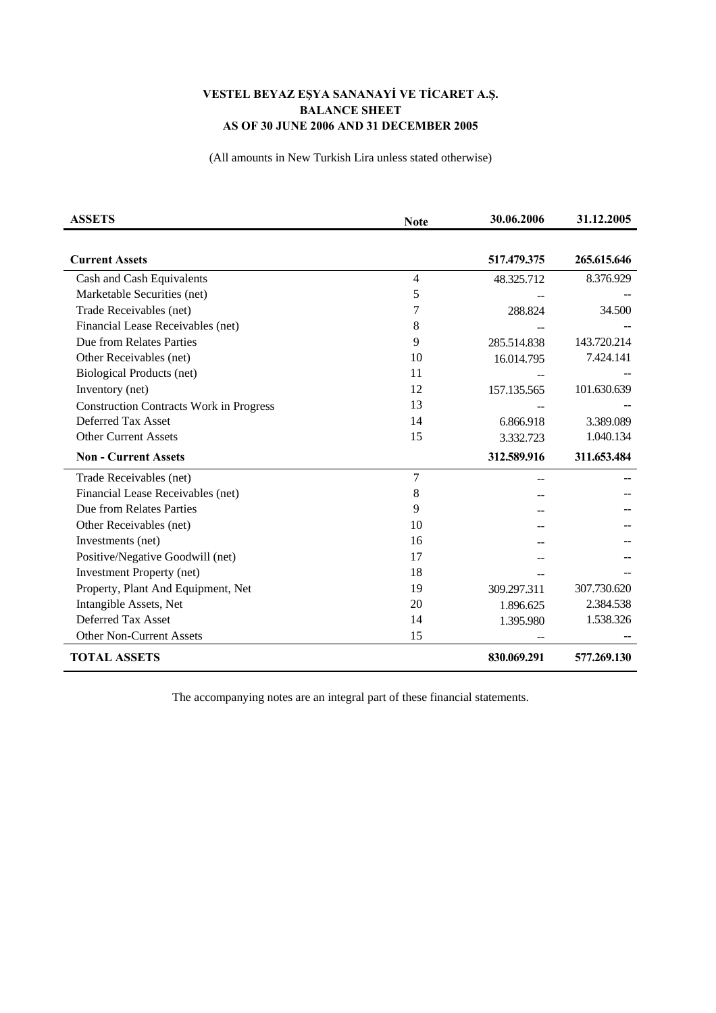## **VESTEL BEYAZ EŞYA SANANAYİ VE TİCARET A.Ş. BALANCE SHEET AS OF 30 JUNE 2006 AND 31 DECEMBER 2005**

(All amounts in New Turkish Lira unless stated otherwise)

| <b>ASSETS</b>                                  | <b>Note</b>    | 30.06.2006  | 31.12.2005  |
|------------------------------------------------|----------------|-------------|-------------|
|                                                |                |             |             |
| <b>Current Assets</b>                          |                | 517.479.375 | 265.615.646 |
| Cash and Cash Equivalents                      | 4              | 48.325.712  | 8.376.929   |
| Marketable Securities (net)                    | 5              |             |             |
| Trade Receivables (net)                        | 7              | 288.824     | 34.500      |
| Financial Lease Receivables (net)              | 8              |             |             |
| Due from Relates Parties                       | 9              | 285.514.838 | 143.720.214 |
| Other Receivables (net)                        | 10             | 16.014.795  | 7.424.141   |
| <b>Biological Products (net)</b>               | 11             |             |             |
| Inventory (net)                                | 12             | 157.135.565 | 101.630.639 |
| <b>Construction Contracts Work in Progress</b> | 13             |             |             |
| Deferred Tax Asset                             | 14             | 6.866.918   | 3.389.089   |
| <b>Other Current Assets</b>                    | 15             | 3.332.723   | 1.040.134   |
| <b>Non - Current Assets</b>                    |                | 312.589.916 | 311.653.484 |
| Trade Receivables (net)                        | $\overline{7}$ |             |             |
| Financial Lease Receivables (net)              | 8              |             |             |
| Due from Relates Parties                       | 9              |             |             |
| Other Receivables (net)                        | 10             |             |             |
| Investments (net)                              | 16             |             |             |
| Positive/Negative Goodwill (net)               | 17             |             |             |
| <b>Investment Property (net)</b>               | 18             |             |             |
| Property, Plant And Equipment, Net             | 19             | 309.297.311 | 307.730.620 |
| Intangible Assets, Net                         | 20             | 1.896.625   | 2.384.538   |
| Deferred Tax Asset                             | 14             | 1.395.980   | 1.538.326   |
| <b>Other Non-Current Assets</b>                | 15             |             |             |
| <b>TOTAL ASSETS</b>                            |                | 830.069.291 | 577.269.130 |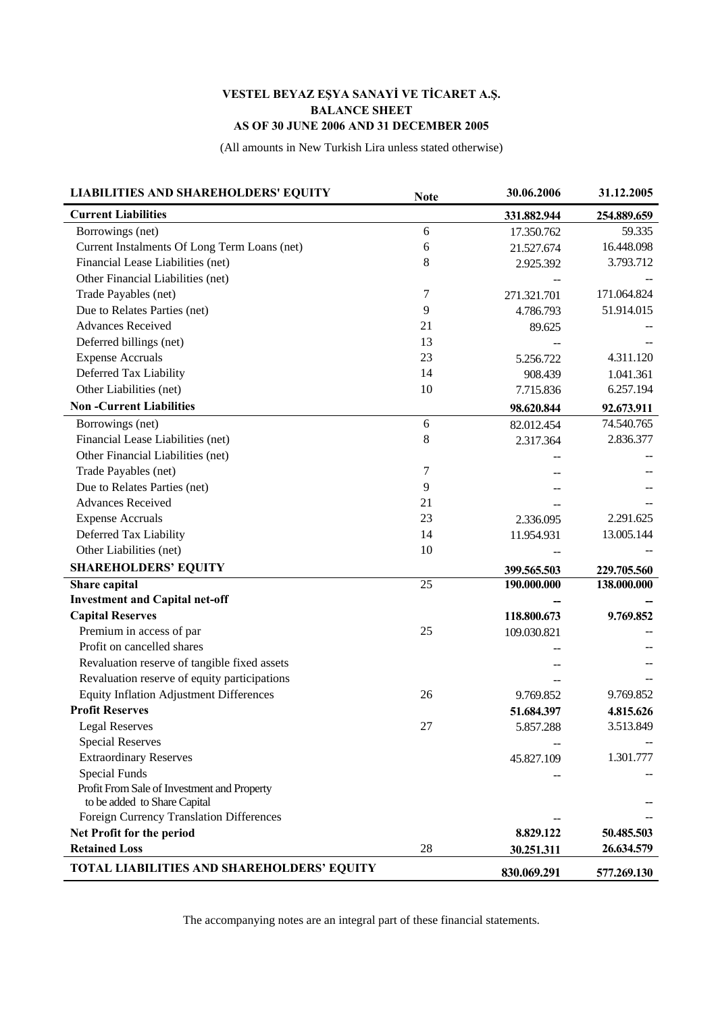## **VESTEL BEYAZ EŞYA SANAYİ VE TİCARET A.Ş. BALANCE SHEET AS OF 30 JUNE 2006 AND 31 DECEMBER 2005**

(All amounts in New Turkish Lira unless stated otherwise)

| <b>LIABILITIES AND SHAREHOLDERS' EQUITY</b>       | <b>Note</b> | 30.06.2006  | 31.12.2005  |
|---------------------------------------------------|-------------|-------------|-------------|
| <b>Current Liabilities</b>                        |             | 331.882.944 | 254.889.659 |
| Borrowings (net)                                  | 6           | 17.350.762  | 59.335      |
| Current Instalments Of Long Term Loans (net)      | 6           | 21.527.674  | 16.448.098  |
| Financial Lease Liabilities (net)                 | 8           | 2.925.392   | 3.793.712   |
| Other Financial Liabilities (net)                 |             |             |             |
| Trade Payables (net)                              | 7           | 271.321.701 | 171.064.824 |
| Due to Relates Parties (net)                      | 9           | 4.786.793   | 51.914.015  |
| <b>Advances Received</b>                          | 21          | 89.625      |             |
| Deferred billings (net)                           | 13          |             |             |
| <b>Expense Accruals</b>                           | 23          | 5.256.722   | 4.311.120   |
| Deferred Tax Liability                            | 14          | 908.439     | 1.041.361   |
| Other Liabilities (net)                           | 10          | 7.715.836   | 6.257.194   |
| <b>Non-Current Liabilities</b>                    |             | 98.620.844  | 92.673.911  |
| Borrowings (net)                                  | 6           | 82.012.454  | 74.540.765  |
| Financial Lease Liabilities (net)                 | $\,8\,$     | 2.317.364   | 2.836.377   |
| Other Financial Liabilities (net)                 |             |             |             |
| Trade Payables (net)                              | $\tau$      |             |             |
| Due to Relates Parties (net)                      | 9           |             |             |
| <b>Advances Received</b>                          | 21          |             |             |
| <b>Expense Accruals</b>                           | 23          | 2.336.095   | 2.291.625   |
| Deferred Tax Liability                            | 14          | 11.954.931  | 13.005.144  |
| Other Liabilities (net)                           | 10          |             |             |
| <b>SHAREHOLDERS' EQUITY</b>                       |             | 399.565.503 | 229.705.560 |
| Share capital                                     | 25          | 190.000.000 | 138.000.000 |
| <b>Investment and Capital net-off</b>             |             |             |             |
| <b>Capital Reserves</b>                           |             | 118.800.673 | 9.769.852   |
| Premium in access of par                          | 25          | 109.030.821 |             |
| Profit on cancelled shares                        |             |             |             |
| Revaluation reserve of tangible fixed assets      |             |             |             |
| Revaluation reserve of equity participations      |             |             |             |
| <b>Equity Inflation Adjustment Differences</b>    | 26          | 9.769.852   | 9.769.852   |
| <b>Profit Reserves</b>                            |             | 51.684.397  | 4.815.626   |
| <b>Legal Reserves</b>                             | 27          | 5.857.288   | 3.513.849   |
| <b>Special Reserves</b>                           |             |             |             |
| <b>Extraordinary Reserves</b>                     |             | 45.827.109  | 1.301.777   |
| <b>Special Funds</b>                              |             |             |             |
| Profit From Sale of Investment and Property       |             |             |             |
| to be added to Share Capital                      |             |             |             |
| Foreign Currency Translation Differences          |             |             |             |
| Net Profit for the period                         |             | 8.829.122   | 50.485.503  |
| <b>Retained Loss</b>                              | 28          | 30.251.311  | 26.634.579  |
| <b>TOTAL LIABILITIES AND SHAREHOLDERS' EQUITY</b> |             | 830.069.291 | 577.269.130 |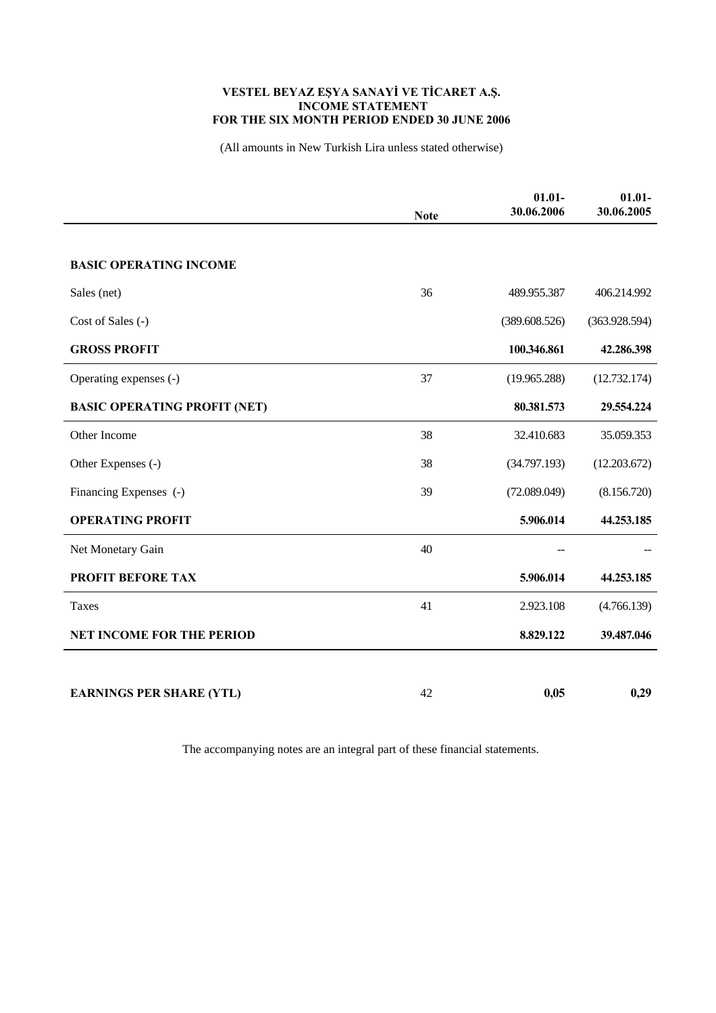## **VESTEL BEYAZ EŞYA SANAYİ VE TİCARET A.Ş. INCOME STATEMENT FOR THE SIX MONTH PERIOD ENDED 30 JUNE 2006**

(All amounts in New Turkish Lira unless stated otherwise)

|                                     | <b>Note</b> | $01.01 -$<br>30.06.2006 | $01.01 -$<br>30.06.2005 |
|-------------------------------------|-------------|-------------------------|-------------------------|
|                                     |             |                         |                         |
| <b>BASIC OPERATING INCOME</b>       |             |                         |                         |
| Sales (net)                         | 36          | 489.955.387             | 406.214.992             |
| Cost of Sales (-)                   |             | (389.608.526)           | (363.928.594)           |
| <b>GROSS PROFIT</b>                 |             | 100.346.861             | 42.286.398              |
| Operating expenses (-)              | 37          | (19.965.288)            | (12.732.174)            |
| <b>BASIC OPERATING PROFIT (NET)</b> |             | 80.381.573              | 29.554.224              |
| Other Income                        | 38          | 32.410.683              | 35.059.353              |
| Other Expenses (-)                  | 38          | (34.797.193)            | (12.203.672)            |
| Financing Expenses (-)              | 39          | (72.089.049)            | (8.156.720)             |
| <b>OPERATING PROFIT</b>             |             | 5.906.014               | 44.253.185              |
| Net Monetary Gain                   | 40          |                         |                         |
| <b>PROFIT BEFORE TAX</b>            |             | 5.906.014               | 44.253.185              |
| Taxes                               | 41          | 2.923.108               | (4.766.139)             |
| <b>NET INCOME FOR THE PERIOD</b>    |             | 8.829.122               | 39.487.046              |
|                                     |             |                         |                         |
| <b>EARNINGS PER SHARE (YTL)</b>     | 42          | 0,05                    | 0,29                    |